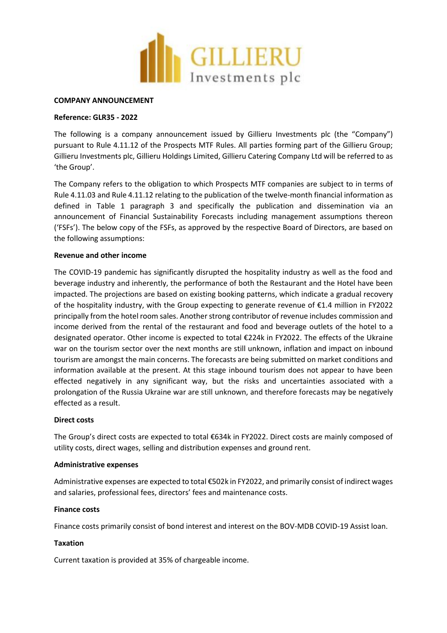

#### **COMPANY ANNOUNCEMENT**

## **Reference: GLR35 - 2022**

The following is a company announcement issued by Gillieru Investments plc (the "Company") pursuant to Rule 4.11.12 of the Prospects MTF Rules. All parties forming part of the Gillieru Group; Gillieru Investments plc, Gillieru Holdings Limited, Gillieru Catering Company Ltd will be referred to as 'the Group'.

The Company refers to the obligation to which Prospects MTF companies are subject to in terms of Rule 4.11.03 and Rule 4.11.12 relating to the publication of the twelve-month financial information as defined in Table 1 paragraph 3 and specifically the publication and dissemination via an announcement of Financial Sustainability Forecasts including management assumptions thereon ('FSFs'). The below copy of the FSFs, as approved by the respective Board of Directors, are based on the following assumptions:

# **Revenue and other income**

The COVID-19 pandemic has significantly disrupted the hospitality industry as well as the food and beverage industry and inherently, the performance of both the Restaurant and the Hotel have been impacted. The projections are based on existing booking patterns, which indicate a gradual recovery of the hospitality industry, with the Group expecting to generate revenue of €1.4 million in FY2022 principally from the hotel room sales. Another strong contributor of revenue includes commission and income derived from the rental of the restaurant and food and beverage outlets of the hotel to a designated operator. Other income is expected to total €224k in FY2022. The effects of the Ukraine war on the tourism sector over the next months are still unknown, inflation and impact on inbound tourism are amongst the main concerns. The forecasts are being submitted on market conditions and information available at the present. At this stage inbound tourism does not appear to have been effected negatively in any significant way, but the risks and uncertainties associated with a prolongation of the Russia Ukraine war are still unknown, and therefore forecasts may be negatively effected as a result.

### **Direct costs**

The Group's direct costs are expected to total €634k in FY2022. Direct costs are mainly composed of utility costs, direct wages, selling and distribution expenses and ground rent.

### **Administrative expenses**

Administrative expenses are expected to total €502k in FY2022, and primarily consist of indirect wages and salaries, professional fees, directors' fees and maintenance costs.

### **Finance costs**

Finance costs primarily consist of bond interest and interest on the BOV-MDB COVID-19 Assist loan.

### **Taxation**

Current taxation is provided at 35% of chargeable income.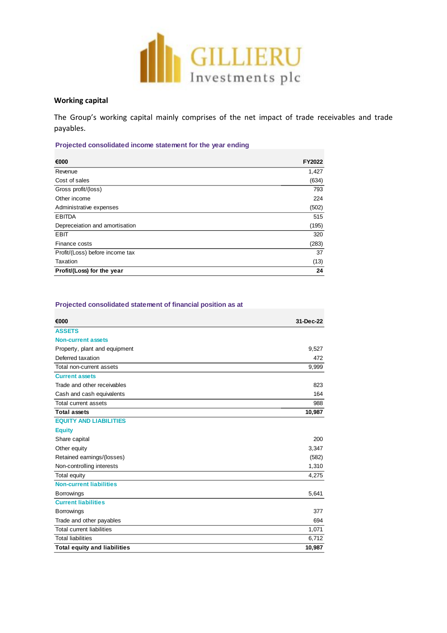

# **Working capital**

The Group's working capital mainly comprises of the net impact of trade receivables and trade payables.

# **Projected consolidated income statement for the year ending**

| €000                            | FY2022 |
|---------------------------------|--------|
| Revenue                         | 1,427  |
| Cost of sales                   | (634)  |
| Gross profit/(loss)             | 793    |
| Other income                    | 224    |
| Administrative expenses         | (502)  |
| <b>EBITDA</b>                   | 515    |
| Depreceiation and amortisation  | (195)  |
| <b>EBIT</b>                     | 320    |
| Finance costs                   | (283)  |
| Profit/(Loss) before income tax | 37     |
| Taxation                        | (13)   |
| Profit/(Loss) for the year      | 24     |

#### **Projected consolidated statement of financial position as at**

| €000                                | 31-Dec-22 |
|-------------------------------------|-----------|
| <b>ASSETS</b>                       |           |
| <b>Non-current assets</b>           |           |
| Property, plant and equipment       | 9,527     |
| Deferred taxation                   | 472       |
| Total non-current assets            | 9,999     |
| <b>Current assets</b>               |           |
| Trade and other receivables         | 823       |
| Cash and cash equivalents           | 164       |
| Total current assets                | 988       |
| <b>Total assets</b>                 | 10,987    |
| <b>EQUITY AND LIABILITIES</b>       |           |
| <b>Equity</b>                       |           |
| Share capital                       | 200       |
| Other equity                        | 3,347     |
| Retained earnings/(losses)          | (582)     |
| Non-controlling interests           | 1,310     |
| Total equity                        | 4,275     |
| <b>Non-current liabilities</b>      |           |
| <b>Borrowings</b>                   | 5,641     |
| <b>Current liabilities</b>          |           |
| <b>Borrowings</b>                   | 377       |
| Trade and other payables            | 694       |
| <b>Total current liabilities</b>    | 1,071     |
| <b>Total liabilities</b>            | 6,712     |
| <b>Total equity and liabilities</b> | 10,987    |